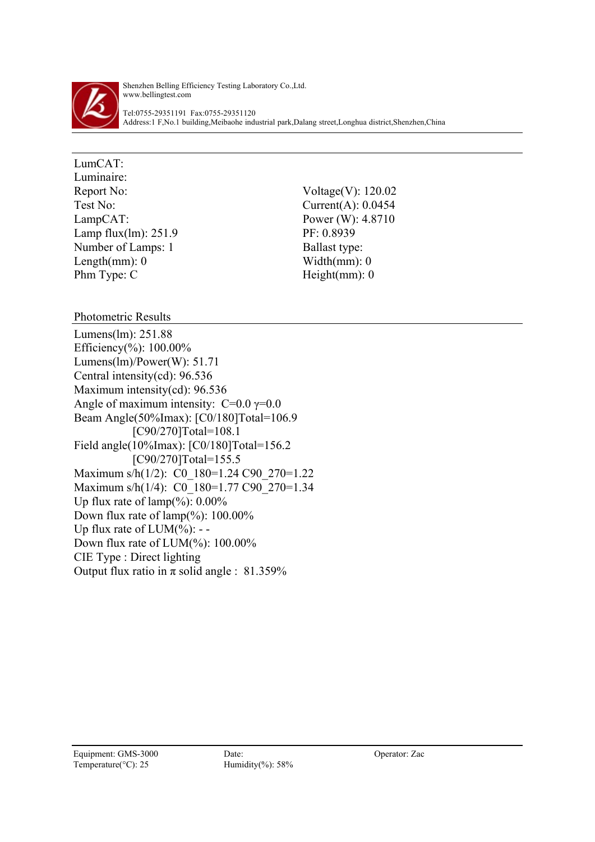

Shenzhen Belling Efficiency Testing Laboratory Co.,Ltd. www.bellingtest.com

Tel:0755-29351191 Fax:0755-29351120 Address:1 F,No.1 building,Meibaohe industrial park,Dalang street,Longhua district,Shenzhen,China

LumCAT: Luminaire: Report No: Voltage(V): 120.02 Test No: Current(A): 0.0454 LampCAT: Power (W): 4.8710 Lamp flux(lm): 251.9 PF: 0.8939 Number of Lamps: 1 Ballast type: Length(mm):  $0$  Width(mm):  $0$ Phm Type: C Height(mm): 0

Photometric Results

Lumens(lm): 251.88 Efficiency(%): 100.00% Lumens(lm)/Power(W): 51.71 Central intensity(cd): 96.536 Maximum intensity(cd): 96.536 Angle of maximum intensity:  $C=0.0$   $\gamma=0.0$ Beam Angle(50%Imax): [C0/180]Total=106.9 [C90/270]Total=108.1 Field angle(10%Imax): [C0/180]Total=156.2 [C90/270]Total=155.5 Maximum s/h(1/2): C0 180=1.24 C90 270=1.22 Maximum s/h(1/4): C0\_180=1.77 C90\_270=1.34 Up flux rate of  $\text{lamp}(\%): 0.00\%$ Down flux rate of lamp(%): 100.00% Up flux rate of  $LUM(\%):$  --Down flux rate of LUM(%): 100.00% CIE Type : Direct lighting Output flux ratio in  $\pi$  solid angle : 81.359%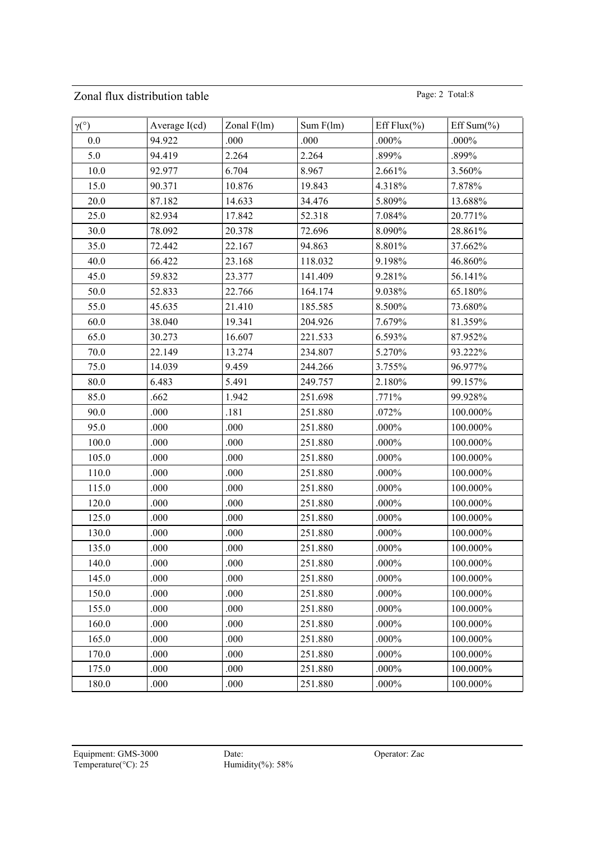## Zonal flux distribution table Page: 2 Total:8

| $\gamma$ <sup>(°)</sup> | Average $I(cd)$ | Zonal $F(lm)$ | Sum $F(lm)$ | Eff Flux $(\% )$ | Eff Sum $(\% )$ |
|-------------------------|-----------------|---------------|-------------|------------------|-----------------|
| 0.0                     | 94.922          | .000          | .000        | .000%            | $.000\%$        |
| 5.0                     | 94.419          | 2.264         | 2.264       | .899%            | .899%           |
| 10.0                    | 92.977          | 6.704         | 8.967       | 2.661%           | 3.560%          |
| 15.0                    | 90.371          | 10.876        | 19.843      | 4.318%           | 7.878%          |
| 20.0                    | 87.182          | 14.633        | 34.476      | 5.809%           | 13.688%         |
| 25.0                    | 82.934          | 17.842        | 52.318      | 7.084%           | 20.771%         |
| 30.0                    | 78.092          | 20.378        | 72.696      | 8.090%           | 28.861%         |
| 35.0                    | 72.442          | 22.167        | 94.863      | 8.801%           | 37.662%         |
| 40.0                    | 66.422          | 23.168        | 118.032     | 9.198%           | 46.860%         |
| 45.0                    | 59.832          | 23.377        | 141.409     | 9.281%           | 56.141%         |
| 50.0                    | 52.833          | 22.766        | 164.174     | 9.038%           | 65.180%         |
| 55.0                    | 45.635          | 21.410        | 185.585     | 8.500%           | 73.680%         |
| 60.0                    | 38.040          | 19.341        | 204.926     | 7.679%           | 81.359%         |
| 65.0                    | 30.273          | 16.607        | 221.533     | 6.593%           | 87.952%         |
| 70.0                    | 22.149          | 13.274        | 234.807     | 5.270%           | 93.222%         |
| 75.0                    | 14.039          | 9.459         | 244.266     | 3.755%           | 96.977%         |
| 80.0                    | 6.483           | 5.491         | 249.757     | 2.180%           | 99.157%         |
| 85.0                    | .662            | 1.942         | 251.698     | .771%            | 99.928%         |
| 90.0                    | .000            | .181          | 251.880     | .072%            | 100.000%        |
| 95.0                    | .000            | .000          | 251.880     | $.000\%$         | 100.000%        |
| 100.0                   | .000            | .000          | 251.880     | $.000\%$         | 100.000%        |
| 105.0                   | .000            | .000          | 251.880     | $.000\%$         | 100.000%        |
| 110.0                   | .000            | .000          | 251.880     | .000%            | 100.000%        |
| 115.0                   | .000            | .000          | 251.880     | .000%            | 100.000%        |
| 120.0                   | .000            | .000          | 251.880     | $.000\%$         | 100.000%        |
| 125.0                   | .000            | .000          | 251.880     | $.000\%$         | 100.000%        |
| 130.0                   | .000            | .000          | 251.880     | $.000\%$         | 100.000%        |
| 135.0                   | .000            | .000          | 251.880     | $.000\%$         | 100.000%        |
| 140.0                   | .000            | .000          | 251.880     | $.000\%$         | 100.000%        |
| 145.0                   | .000            | .000          | 251.880     | $.000\%$         | 100.000%        |
| 150.0                   | .000            | .000          | 251.880     | .000%            | 100.000%        |
| 155.0                   | .000            | .000          | 251.880     | .000%            | 100.000%        |
| 160.0                   | .000            | .000          | 251.880     | .000%            | 100.000%        |
| 165.0                   | .000            | .000          | 251.880     | $.000\%$         | 100.000%        |
| 170.0                   | .000            | .000          | 251.880     | .000%            | 100.000%        |
| 175.0                   | .000            | .000          | 251.880     | $.000\%$         | $100.000\%$     |
| 180.0                   | .000            | .000          | 251.880     | .000%            | 100.000%        |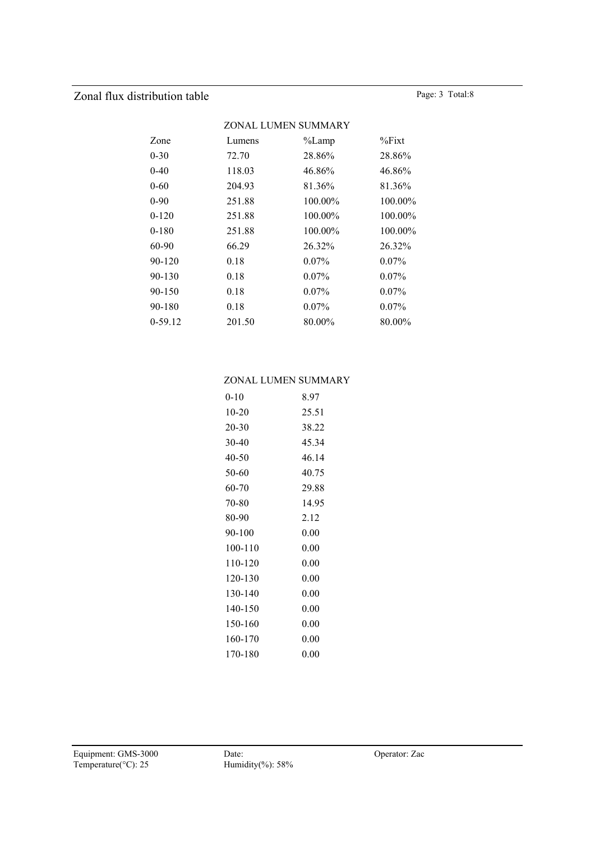## Zonal flux distribution table Page: 3 Total:8

|           |        | ZONAL LUMEN SUMMARY |           |
|-----------|--------|---------------------|-----------|
| Zone      | Lumens | %Lamp               | $\%$ Fixt |
| $0 - 30$  | 72.70  | 28.86%              | 28.86%    |
| $0 - 40$  | 118.03 | 46.86%              | 46.86%    |
| 0-60      | 204.93 | 81.36%              | 81.36%    |
| 0-90      | 251.88 | 100.00%             | 100.00%   |
| $0 - 120$ | 251.88 | 100.00%             | 100.00%   |
| 0-180     | 251.88 | $100.00\%$          | 100.00%   |
| 60-90     | 66.29  | 26.32%              | 26.32%    |
| 90-120    | 0.18   | $0.07\%$            | $0.07\%$  |
| 90-130    | 0.18   | $0.07\%$            | $0.07\%$  |
| 90-150    | 0.18   | $0.07\%$            | $0.07\%$  |
| 90-180    | 0.18   | $0.07\%$            | $0.07\%$  |
| 0-59.12   | 201.50 | 80.00%              | 80.00%    |
|           |        |                     |           |

## ZONAL LUMEN SUMMARY

| 0-10    | 8.97  |
|---------|-------|
| $10-20$ | 25.51 |
| 20-30   | 38.22 |
| $30-40$ | 45.34 |
| 40-50   | 46.14 |
| 50-60   | 40.75 |
| 60-70   | 29.88 |
| 70-80   | 14.95 |
| 80-90   | 2.12  |
| 90-100  | 0.00  |
| 100-110 | 0.00  |
|         |       |
| 110-120 | 0.00  |
| 120-130 | 0.00  |
| 130-140 | 0.00  |
| 140-150 | 0.00  |
| 150-160 | 0.00  |
| 160-170 | 0.00  |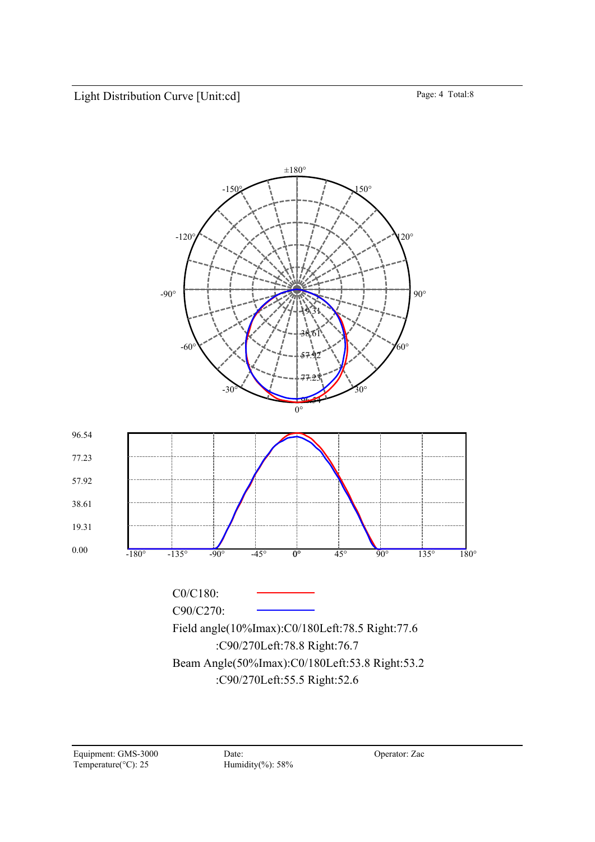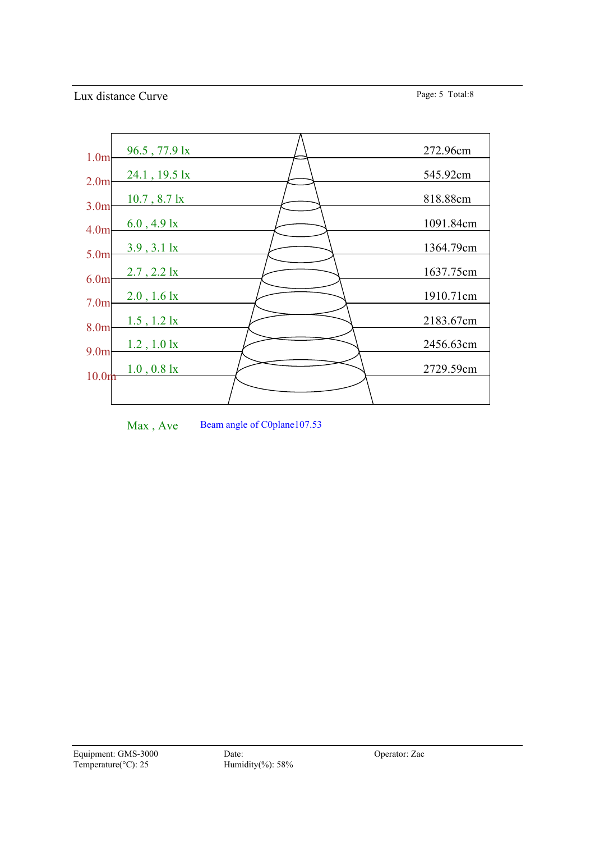

Max, Ave Beam angle of C0plane107.53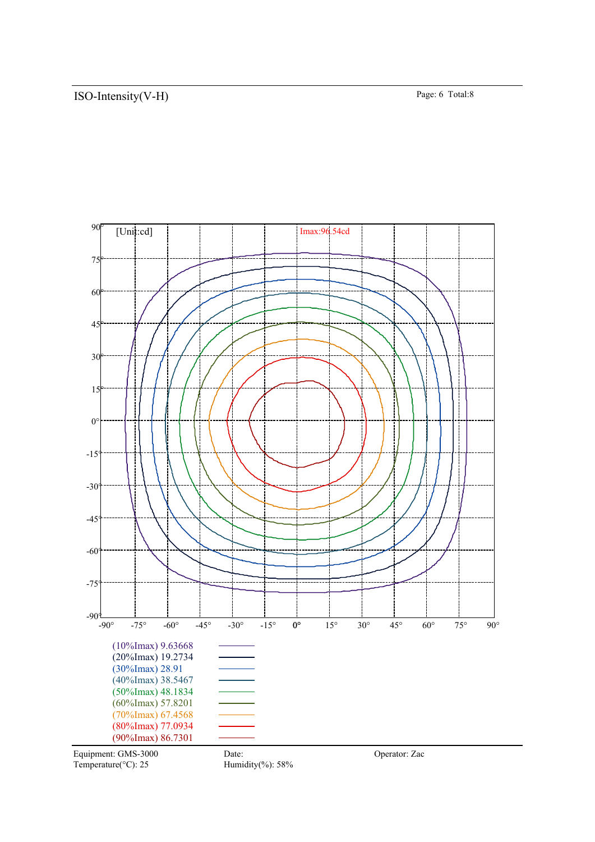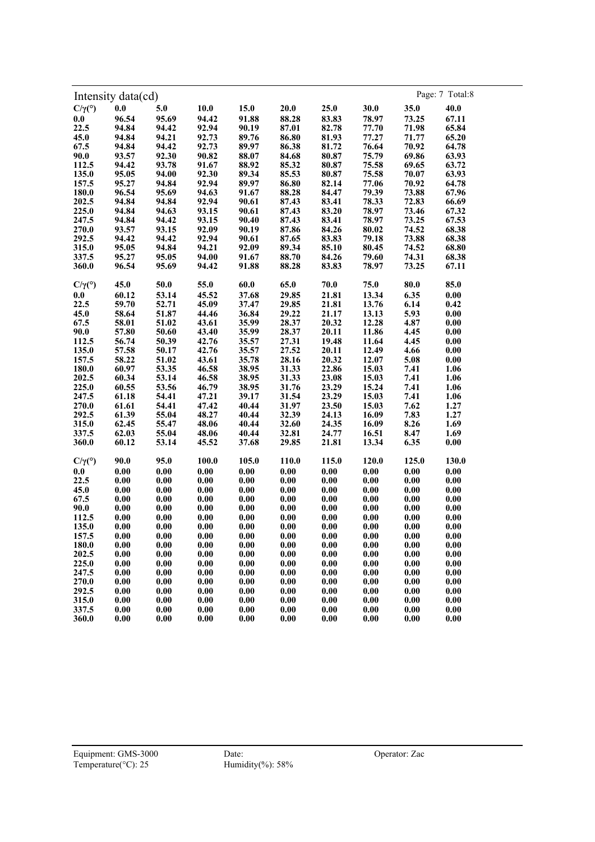| Intensity data(cd)        |                     |                     |                     |                     |                     |                     |       |                     | Page: 7 Total:8     |
|---------------------------|---------------------|---------------------|---------------------|---------------------|---------------------|---------------------|-------|---------------------|---------------------|
| $C/\gamma$ <sup>(°)</sup> | 0.0                 | 5.0                 | 10.0                | 15.0                | 20.0                | 25.0                | 30.0  | 35.0                | 40.0                |
| 0.0                       | 96.54               | 95.69               | 94.42               | 91.88               | 88.28               | 83.83               | 78.97 | 73.25               | 67.11               |
| 22.5                      | 94.84               | 94.42               | 92.94               | 90.19               | 87.01               | 82.78               | 77.70 | 71.98               | 65.84               |
| 45.0                      | 94.84               | 94.21               | 92.73               | 89.76               | 86.80               | 81.93               | 77.27 | 71.77               | 65.20               |
| 67.5                      | 94.84               | 94.42               | 92.73               | 89.97               | 86.38               | 81.72               | 76.64 | 70.92               | 64.78               |
| 90.0                      | 93.57               | 92.30               | 90.82               | 88.07               | 84.68               | 80.87               | 75.79 | 69.86               | 63.93               |
| 112.5                     | 94.42               | 93.78               | 91.67               | 88.92               | 85.32               | 80.87               | 75.58 | 69.65               | 63.72               |
| 135.0                     | 95.05               | 94.00               | 92.30               | 89.34               | 85.53               | 80.87               | 75.58 | 70.07               | 63.93               |
| 157.5                     | 95.27               | 94.84               | 92.94               | 89.97               | 86.80               | 82.14               | 77.06 | 70.92               | 64.78               |
|                           |                     |                     |                     |                     | 88.28               | 84.47               | 79.39 |                     |                     |
| 180.0<br>202.5            | 96.54               | 95.69               | 94.63               | 91.67               |                     |                     |       | 73.88               | 67.96               |
|                           | 94.84               | 94.84               | 92.94               | 90.61               | 87.43               | 83.41               | 78.33 | 72.83               | 66.69               |
| 225.0                     | 94.84               | 94.63               | 93.15               | 90.61               | 87.43               | 83.20               | 78.97 | 73.46               | 67.32               |
| 247.5                     | 94.84               | 94.42               | 93.15               | 90.40               | 87.43               | 83.41               | 78.97 | 73.25               | 67.53               |
| 270.0                     | 93.57               | 93.15               | 92.09               | 90.19               | 87.86               | 84.26               | 80.02 | 74.52               | 68.38               |
| 292.5                     | 94.42               | 94.42               | 92.94               | 90.61               | 87.65               | 83.83               | 79.18 | 73.88               | 68.38               |
| 315.0                     | 95.05               | 94.84               | 94.21               | 92.09               | 89.34               | 85.10               | 80.45 | 74.52               | 68.80               |
| 337.5                     | 95.27               | 95.05               | 94.00               | 91.67               | 88.70               | 84.26               | 79.60 | 74.31               | 68.38               |
| 360.0                     | 96.54               | 95.69               | 94.42               | 91.88               | 88.28               | 83.83               | 78.97 | 73.25               | 67.11               |
| $C/\gamma$ <sup>(°)</sup> | 45.0                | 50.0                | 55.0                | 60.0                | 65.0                | $\bf 70.0$          | 75.0  | 80.0                | 85.0                |
| 0.0                       | 60.12               | 53.14               | 45.52               | 37.68               | 29.85               | 21.81               | 13.34 | 6.35                | $\boldsymbol{0.00}$ |
| 22.5                      | 59.70               | 52.71               | 45.09               | 37.47               | 29.85               | 21.81               | 13.76 | 6.14                | 0.42                |
| 45.0                      | 58.64               | 51.87               | 44.46               | 36.84               | 29.22               | 21.17               | 13.13 | 5.93                | 0.00                |
| 67.5                      | 58.01               |                     | 43.61               | 35.99               | 28.37               | 20.32               | 12.28 | 4.87                | $\boldsymbol{0.00}$ |
|                           | 57.80               | 51.02               |                     |                     | 28.37               |                     |       |                     |                     |
| 90.0                      |                     | 50.60               | 43.40               | 35.99               |                     | 20.11               | 11.86 | 4.45                | $\boldsymbol{0.00}$ |
| 112.5                     | 56.74               | 50.39               | 42.76               | 35.57               | 27.31               | 19.48               | 11.64 | 4.45                | $\boldsymbol{0.00}$ |
| 135.0                     | 57.58               | 50.17               | 42.76               | 35.57               | 27.52               | 20.11               | 12.49 | 4.66                | 0.00                |
| 157.5                     | 58.22               | 51.02               | 43.61               | 35.78               | 28.16               | 20.32               | 12.07 | 5.08                | $\boldsymbol{0.00}$ |
| 180.0                     | 60.97               | 53.35               | 46.58               | 38.95               | 31.33               | 22.86               | 15.03 | 7.41                | 1.06                |
| 202.5                     | 60.34               | 53.14               | 46.58               | 38.95               | 31.33               | 23.08               | 15.03 | 7.41                | 1.06                |
| 225.0                     | 60.55               | 53.56               | 46.79               | 38.95               | 31.76               | 23.29               | 15.24 | 7.41                | 1.06                |
| 247.5                     | 61.18               | 54.41               | 47.21               | 39.17               | 31.54               | 23.29               | 15.03 | 7.41                | 1.06                |
| 270.0                     | 61.61               | 54.41               | 47.42               | 40.44               | 31.97               | 23.50               | 15.03 | 7.62                | 1.27                |
| 292.5                     | 61.39               | 55.04               | 48.27               | 40.44               | 32.39               | 24.13               | 16.09 | 7.83                | 1.27                |
| 315.0                     | 62.45               | 55.47               | 48.06               | 40.44               | 32.60               | 24.35               | 16.09 | 8.26                | 1.69                |
| 337.5                     | 62.03               | 55.04               | 48.06               | 40.44               | 32.81               | 24.77               | 16.51 | 8.47                | 1.69                |
| 360.0                     | 60.12               | 53.14               | 45.52               | 37.68               | 29.85               | 21.81               | 13.34 | 6.35                | 0.00                |
| $C/\gamma$ <sup>(°)</sup> | 90.0                | 95.0                | 100.0               | 105.0               | 110.0               | 115.0               | 120.0 | 125.0               | 130.0               |
| 0.0                       | 0.00                | 0.00                | 0.00                | 0.00                | 0.00                | 0.00                | 0.00  | 0.00                | 0.00                |
| 22.5                      | $0.00\,$            | $\boldsymbol{0.00}$ | 0.00                | $0.00\,$            | 0.00                | 0.00                | 0.00  | 0.00                | 0.00                |
| 45.0                      | $0.00\,$            | $\boldsymbol{0.00}$ | $\boldsymbol{0.00}$ | 0.00                | $\boldsymbol{0.00}$ | $\boldsymbol{0.00}$ | 0.00  | 0.00                | 0.00                |
| 67.5                      | $0.00\,$            | $\boldsymbol{0.00}$ | 0.00                | $\boldsymbol{0.00}$ | $\boldsymbol{0.00}$ | $\boldsymbol{0.00}$ | 0.00  | 0.00                | $\boldsymbol{0.00}$ |
| 90.0                      | $\boldsymbol{0.00}$ | $\boldsymbol{0.00}$ | 0.00                | $0.00\,$            | $\boldsymbol{0.00}$ | $\boldsymbol{0.00}$ | 0.00  |                     | $\boldsymbol{0.00}$ |
| 112.5                     | $\boldsymbol{0.00}$ | $\boldsymbol{0.00}$ |                     | $\boldsymbol{0.00}$ | 0.00                | 0.00                |       | 0.00<br>0.00        | 0.00                |
|                           |                     |                     | 0.00                |                     |                     |                     | 0.00  |                     |                     |
| 135.0                     | 0.00                | $\boldsymbol{0.00}$ | 0.00                | 0.00                | 0.00                | 0.00                | 0.00  | 0.00                | 0.00                |
| 157.5                     | 0.00                | 0.00                | 0.00                | 0.00                | 0.00                | 0.00                | 0.00  | $\boldsymbol{0.00}$ | 0.00                |
| 180.0                     | 0.00                | 0.00                | 0.00                | 0.00                | 0.00                | 0.00                | 0.00  | 0.00                | 0.00                |
| 202.5                     | 0.00                | 0.00                | 0.00                | 0.00                | 0.00                | 0.00                | 0.00  | 0.00                | 0.00                |
| 225.0                     | 0.00                | 0.00                | 0.00                | 0.00                | 0.00                | 0.00                | 0.00  | 0.00                | 0.00                |
| 247.5                     | 0.00                | 0.00                | 0.00                | 0.00                | 0.00                | 0.00                | 0.00  | 0.00                | 0.00                |
| 270.0                     | 0.00                | 0.00                | 0.00                | 0.00                | 0.00                | 0.00                | 0.00  | 0.00                | 0.00                |
| 292.5                     | 0.00                | 0.00                | 0.00                | 0.00                | 0.00                | 0.00                | 0.00  | 0.00                | 0.00                |
| 315.0                     | 0.00                | 0.00                | 0.00                | 0.00                | 0.00                | 0.00                | 0.00  | 0.00                | 0.00                |
| 337.5                     | 0.00                | 0.00                | 0.00                | 0.00                | 0.00                | 0.00                | 0.00  | $\boldsymbol{0.00}$ | 0.00                |
| 360.0                     | 0.00                | 0.00                | 0.00                | 0.00                | 0.00                | 0.00                | 0.00  | $\boldsymbol{0.00}$ | 0.00                |